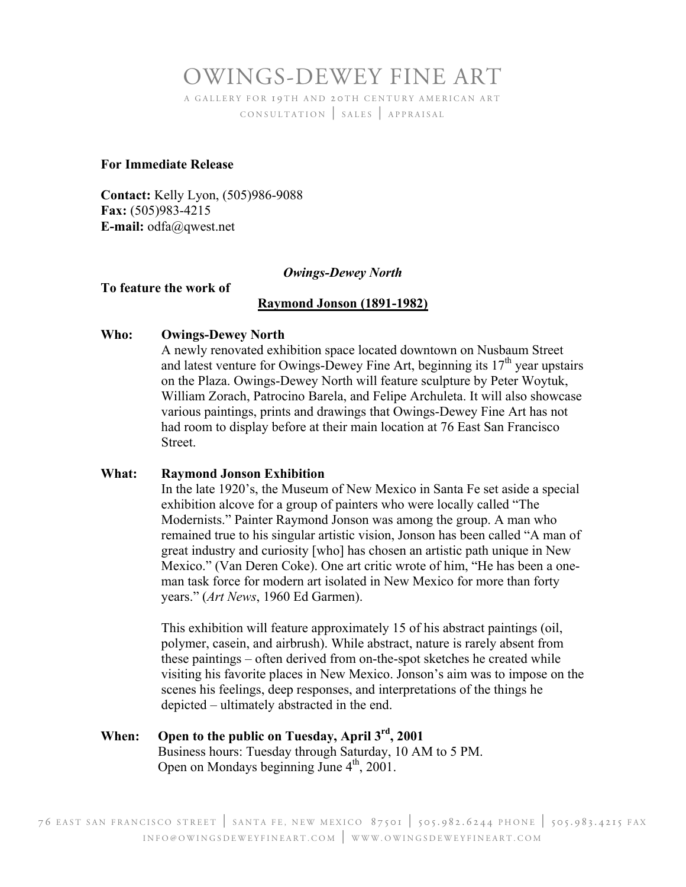## OWINGS-DEWEY FINE ART

A GALLERY FOR 19TH AND 20TH CENTURY AMERICAN ART CONSULTATION | SALES | APPRAISAL

#### **For Immediate Release**

**Contact:** Kelly Lyon, (505)986-9088 **Fax:** (505)983-4215 **E-mail:** odfa@qwest.net

#### *Owings-Dewey North*

#### **To feature the work of**

#### **Raymond Jonson (1891-1982)**

#### **Who: Owings-Dewey North**

A newly renovated exhibition space located downtown on Nusbaum Street and latest venture for Owings-Dewey Fine Art, beginning its  $17<sup>th</sup>$  year upstairs on the Plaza. Owings-Dewey North will feature sculpture by Peter Woytuk, William Zorach, Patrocino Barela, and Felipe Archuleta. It will also showcase various paintings, prints and drawings that Owings-Dewey Fine Art has not had room to display before at their main location at 76 East San Francisco Street.

#### **What: Raymond Jonson Exhibition**

In the late 1920's, the Museum of New Mexico in Santa Fe set aside a special exhibition alcove for a group of painters who were locally called "The Modernists." Painter Raymond Jonson was among the group. A man who remained true to his singular artistic vision, Jonson has been called "A man of great industry and curiosity [who] has chosen an artistic path unique in New Mexico." (Van Deren Coke). One art critic wrote of him, "He has been a oneman task force for modern art isolated in New Mexico for more than forty years." (*Art News*, 1960 Ed Garmen).

This exhibition will feature approximately 15 of his abstract paintings (oil, polymer, casein, and airbrush). While abstract, nature is rarely absent from these paintings – often derived from on-the-spot sketches he created while visiting his favorite places in New Mexico. Jonson's aim was to impose on the scenes his feelings, deep responses, and interpretations of the things he depicted – ultimately abstracted in the end.

#### **When: Open to the public on Tuesday, April 3rd, 2001** Business hours: Tuesday through Saturday, 10 AM to 5 PM. Open on Mondays beginning June  $4<sup>th</sup>$ , 2001.